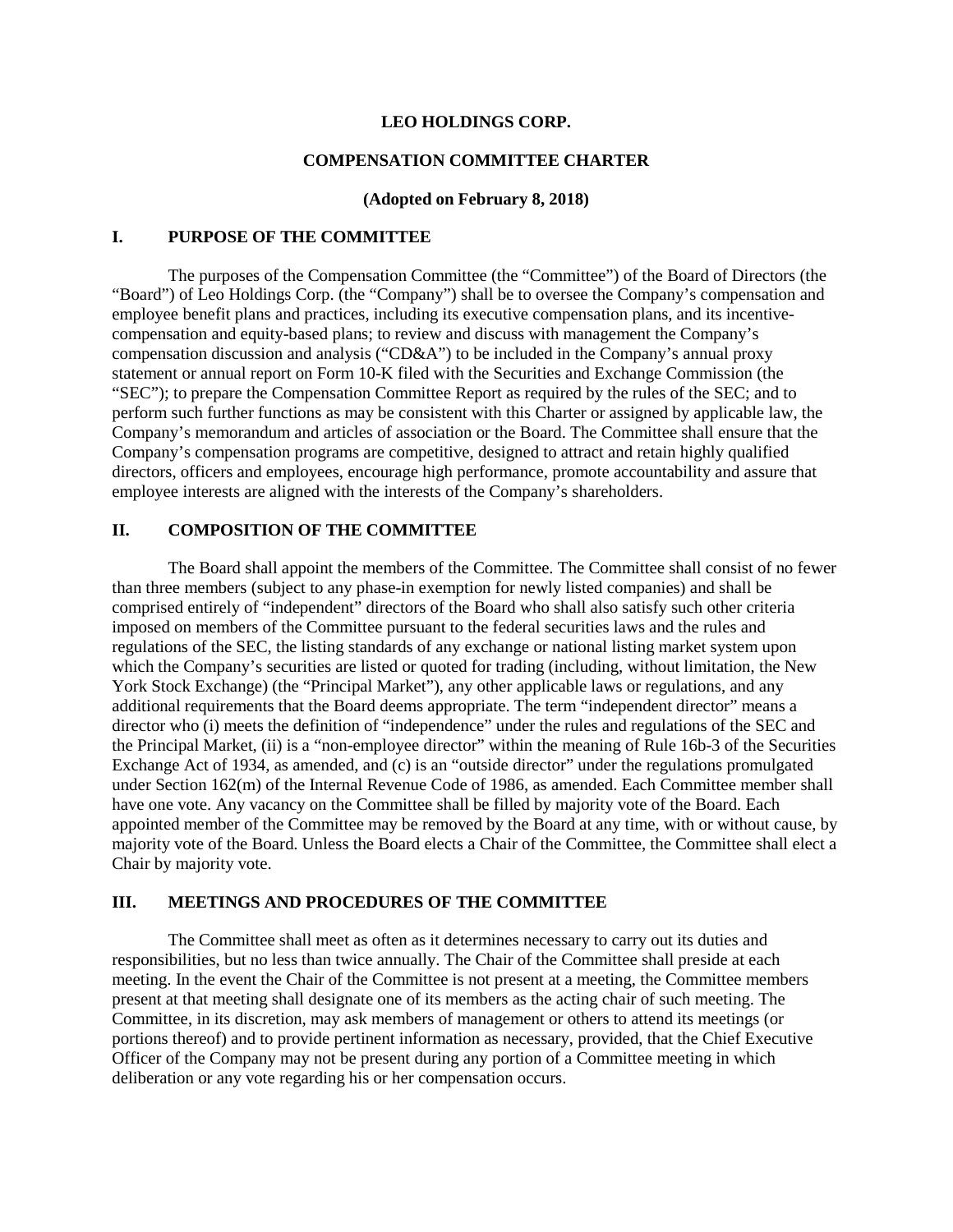#### **LEO HOLDINGS CORP.**

#### **COMPENSATION COMMITTEE CHARTER**

### **(Adopted on February 8, 2018)**

### **I. PURPOSE OF THE COMMITTEE**

The purposes of the Compensation Committee (the "Committee") of the Board of Directors (the "Board") of Leo Holdings Corp. (the "Company") shall be to oversee the Company's compensation and employee benefit plans and practices, including its executive compensation plans, and its incentivecompensation and equity-based plans; to review and discuss with management the Company's compensation discussion and analysis ("CD&A") to be included in the Company's annual proxy statement or annual report on Form 10-K filed with the Securities and Exchange Commission (the "SEC"); to prepare the Compensation Committee Report as required by the rules of the SEC; and to perform such further functions as may be consistent with this Charter or assigned by applicable law, the Company's memorandum and articles of association or the Board. The Committee shall ensure that the Company's compensation programs are competitive, designed to attract and retain highly qualified directors, officers and employees, encourage high performance, promote accountability and assure that employee interests are aligned with the interests of the Company's shareholders.

### **II. COMPOSITION OF THE COMMITTEE**

The Board shall appoint the members of the Committee. The Committee shall consist of no fewer than three members (subject to any phase-in exemption for newly listed companies) and shall be comprised entirely of "independent" directors of the Board who shall also satisfy such other criteria imposed on members of the Committee pursuant to the federal securities laws and the rules and regulations of the SEC, the listing standards of any exchange or national listing market system upon which the Company's securities are listed or quoted for trading (including, without limitation, the New York Stock Exchange) (the "Principal Market"), any other applicable laws or regulations, and any additional requirements that the Board deems appropriate. The term "independent director" means a director who (i) meets the definition of "independence" under the rules and regulations of the SEC and the Principal Market, (ii) is a "non-employee director" within the meaning of Rule 16b-3 of the Securities Exchange Act of 1934, as amended, and (c) is an "outside director" under the regulations promulgated under Section 162(m) of the Internal Revenue Code of 1986, as amended. Each Committee member shall have one vote. Any vacancy on the Committee shall be filled by majority vote of the Board. Each appointed member of the Committee may be removed by the Board at any time, with or without cause, by majority vote of the Board. Unless the Board elects a Chair of the Committee, the Committee shall elect a Chair by majority vote.

### **III. MEETINGS AND PROCEDURES OF THE COMMITTEE**

The Committee shall meet as often as it determines necessary to carry out its duties and responsibilities, but no less than twice annually. The Chair of the Committee shall preside at each meeting. In the event the Chair of the Committee is not present at a meeting, the Committee members present at that meeting shall designate one of its members as the acting chair of such meeting. The Committee, in its discretion, may ask members of management or others to attend its meetings (or portions thereof) and to provide pertinent information as necessary, provided, that the Chief Executive Officer of the Company may not be present during any portion of a Committee meeting in which deliberation or any vote regarding his or her compensation occurs.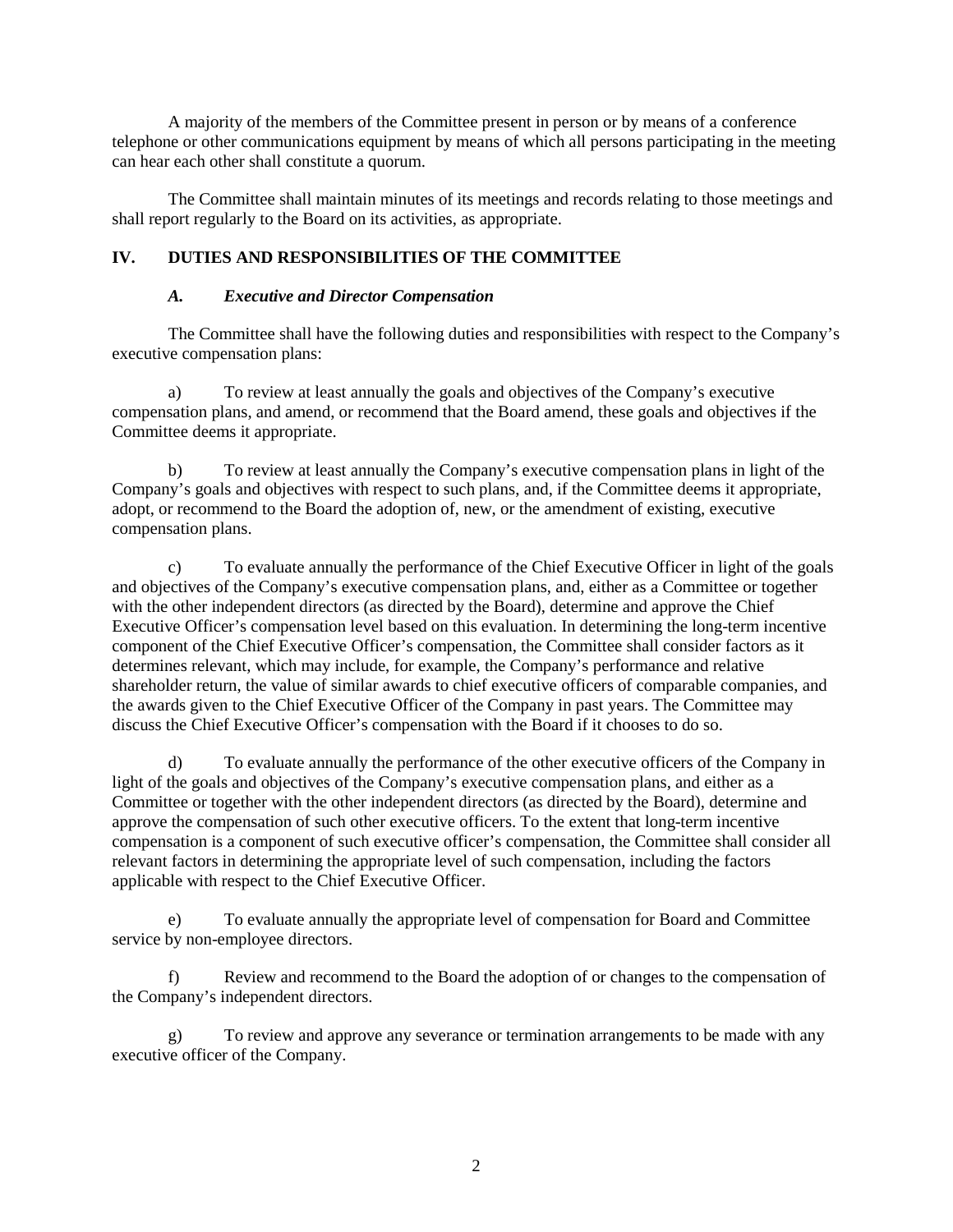A majority of the members of the Committee present in person or by means of a conference telephone or other communications equipment by means of which all persons participating in the meeting can hear each other shall constitute a quorum.

The Committee shall maintain minutes of its meetings and records relating to those meetings and shall report regularly to the Board on its activities, as appropriate.

## **IV. DUTIES AND RESPONSIBILITIES OF THE COMMITTEE**

### *A. Executive and Director Compensation*

The Committee shall have the following duties and responsibilities with respect to the Company's executive compensation plans:

a) To review at least annually the goals and objectives of the Company's executive compensation plans, and amend, or recommend that the Board amend, these goals and objectives if the Committee deems it appropriate.

b) To review at least annually the Company's executive compensation plans in light of the Company's goals and objectives with respect to such plans, and, if the Committee deems it appropriate, adopt, or recommend to the Board the adoption of, new, or the amendment of existing, executive compensation plans.

c) To evaluate annually the performance of the Chief Executive Officer in light of the goals and objectives of the Company's executive compensation plans, and, either as a Committee or together with the other independent directors (as directed by the Board), determine and approve the Chief Executive Officer's compensation level based on this evaluation. In determining the long-term incentive component of the Chief Executive Officer's compensation, the Committee shall consider factors as it determines relevant, which may include, for example, the Company's performance and relative shareholder return, the value of similar awards to chief executive officers of comparable companies, and the awards given to the Chief Executive Officer of the Company in past years. The Committee may discuss the Chief Executive Officer's compensation with the Board if it chooses to do so.

d) To evaluate annually the performance of the other executive officers of the Company in light of the goals and objectives of the Company's executive compensation plans, and either as a Committee or together with the other independent directors (as directed by the Board), determine and approve the compensation of such other executive officers. To the extent that long-term incentive compensation is a component of such executive officer's compensation, the Committee shall consider all relevant factors in determining the appropriate level of such compensation, including the factors applicable with respect to the Chief Executive Officer.

e) To evaluate annually the appropriate level of compensation for Board and Committee service by non-employee directors.

f) Review and recommend to the Board the adoption of or changes to the compensation of the Company's independent directors.

g) To review and approve any severance or termination arrangements to be made with any executive officer of the Company.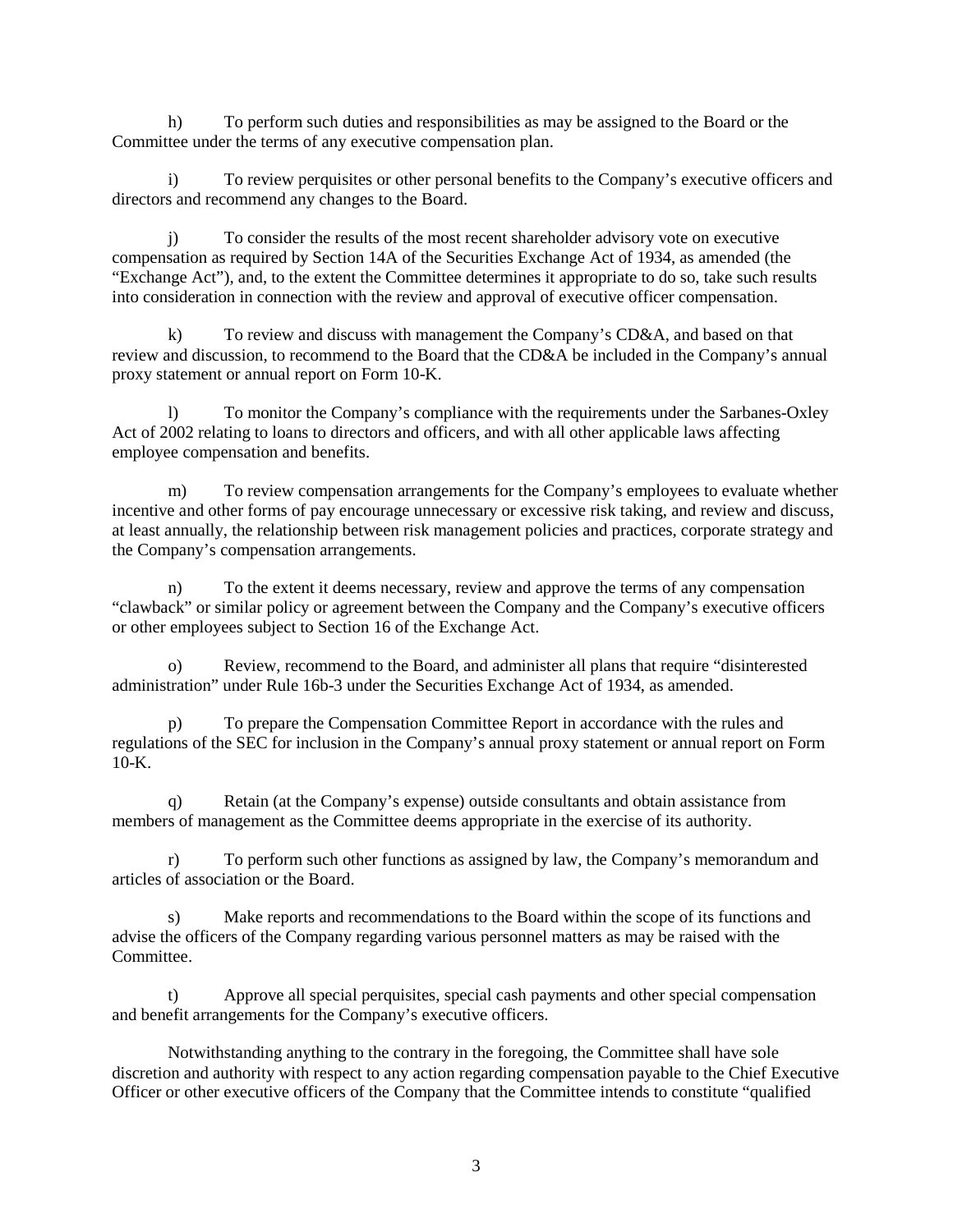h) To perform such duties and responsibilities as may be assigned to the Board or the Committee under the terms of any executive compensation plan.

i) To review perquisites or other personal benefits to the Company's executive officers and directors and recommend any changes to the Board.

j) To consider the results of the most recent shareholder advisory vote on executive compensation as required by Section 14A of the Securities Exchange Act of 1934, as amended (the "Exchange Act"), and, to the extent the Committee determines it appropriate to do so, take such results into consideration in connection with the review and approval of executive officer compensation.

k) To review and discuss with management the Company's CD&A, and based on that review and discussion, to recommend to the Board that the CD&A be included in the Company's annual proxy statement or annual report on Form 10-K.

l) To monitor the Company's compliance with the requirements under the Sarbanes-Oxley Act of 2002 relating to loans to directors and officers, and with all other applicable laws affecting employee compensation and benefits.

m) To review compensation arrangements for the Company's employees to evaluate whether incentive and other forms of pay encourage unnecessary or excessive risk taking, and review and discuss, at least annually, the relationship between risk management policies and practices, corporate strategy and the Company's compensation arrangements.

n) To the extent it deems necessary, review and approve the terms of any compensation "clawback" or similar policy or agreement between the Company and the Company's executive officers or other employees subject to Section 16 of the Exchange Act.

o) Review, recommend to the Board, and administer all plans that require "disinterested administration" under Rule 16b-3 under the Securities Exchange Act of 1934, as amended.

p) To prepare the Compensation Committee Report in accordance with the rules and regulations of the SEC for inclusion in the Company's annual proxy statement or annual report on Form  $10-K$ .

q) Retain (at the Company's expense) outside consultants and obtain assistance from members of management as the Committee deems appropriate in the exercise of its authority.

r) To perform such other functions as assigned by law, the Company's memorandum and articles of association or the Board.

s) Make reports and recommendations to the Board within the scope of its functions and advise the officers of the Company regarding various personnel matters as may be raised with the Committee.

t) Approve all special perquisites, special cash payments and other special compensation and benefit arrangements for the Company's executive officers.

Notwithstanding anything to the contrary in the foregoing, the Committee shall have sole discretion and authority with respect to any action regarding compensation payable to the Chief Executive Officer or other executive officers of the Company that the Committee intends to constitute "qualified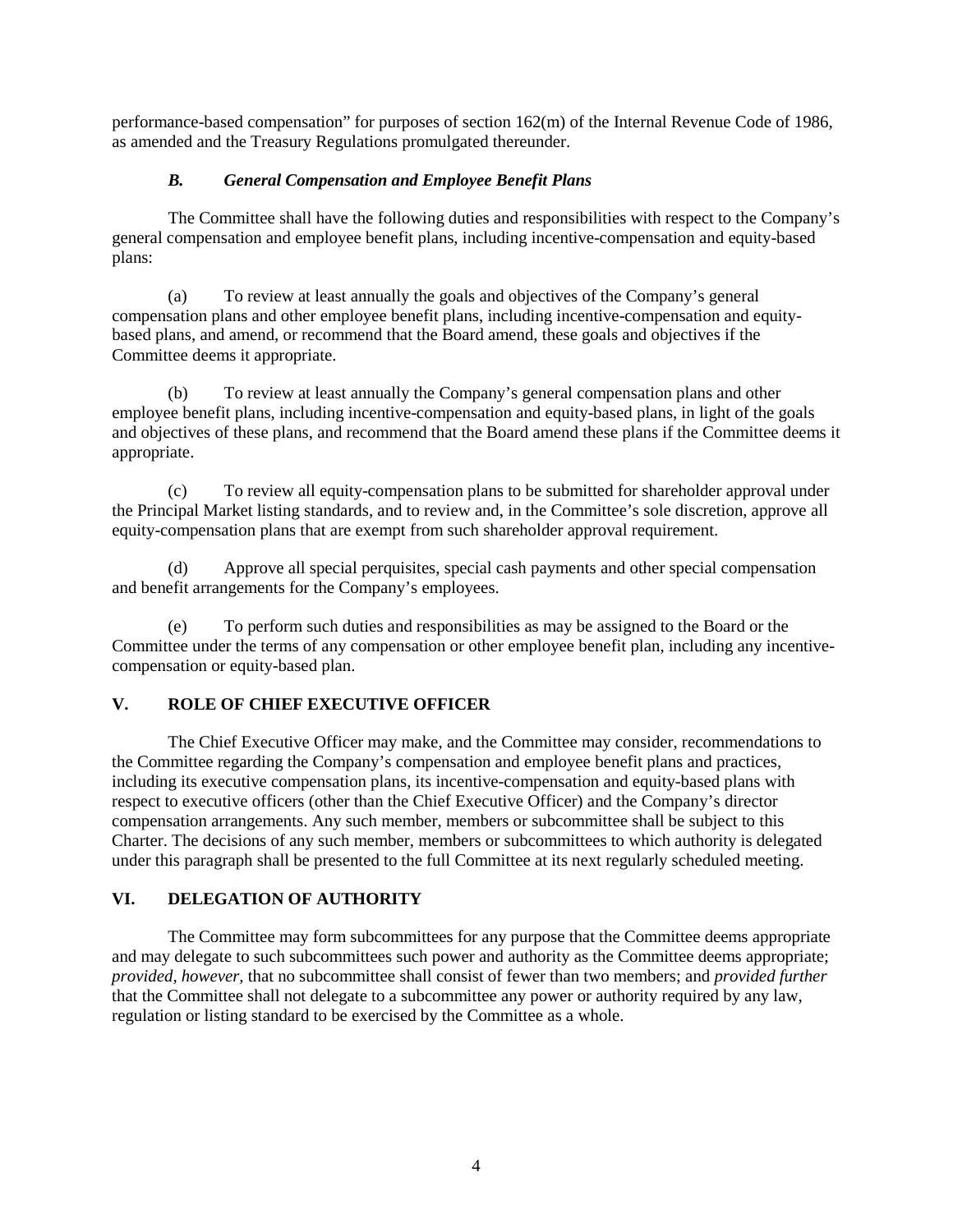performance-based compensation" for purposes of section 162(m) of the Internal Revenue Code of 1986, as amended and the Treasury Regulations promulgated thereunder.

## *B. General Compensation and Employee Benefit Plans*

The Committee shall have the following duties and responsibilities with respect to the Company's general compensation and employee benefit plans, including incentive-compensation and equity-based plans:

(a) To review at least annually the goals and objectives of the Company's general compensation plans and other employee benefit plans, including incentive-compensation and equitybased plans, and amend, or recommend that the Board amend, these goals and objectives if the Committee deems it appropriate.

(b) To review at least annually the Company's general compensation plans and other employee benefit plans, including incentive-compensation and equity-based plans, in light of the goals and objectives of these plans, and recommend that the Board amend these plans if the Committee deems it appropriate.

(c) To review all equity-compensation plans to be submitted for shareholder approval under the Principal Market listing standards, and to review and, in the Committee's sole discretion, approve all equity-compensation plans that are exempt from such shareholder approval requirement.

(d) Approve all special perquisites, special cash payments and other special compensation and benefit arrangements for the Company's employees.

(e) To perform such duties and responsibilities as may be assigned to the Board or the Committee under the terms of any compensation or other employee benefit plan, including any incentivecompensation or equity-based plan.

# **V. ROLE OF CHIEF EXECUTIVE OFFICER**

The Chief Executive Officer may make, and the Committee may consider, recommendations to the Committee regarding the Company's compensation and employee benefit plans and practices, including its executive compensation plans, its incentive-compensation and equity-based plans with respect to executive officers (other than the Chief Executive Officer) and the Company's director compensation arrangements. Any such member, members or subcommittee shall be subject to this Charter. The decisions of any such member, members or subcommittees to which authority is delegated under this paragraph shall be presented to the full Committee at its next regularly scheduled meeting.

# **VI. DELEGATION OF AUTHORITY**

The Committee may form subcommittees for any purpose that the Committee deems appropriate and may delegate to such subcommittees such power and authority as the Committee deems appropriate; *provided, however,* that no subcommittee shall consist of fewer than two members; and *provided further*  that the Committee shall not delegate to a subcommittee any power or authority required by any law, regulation or listing standard to be exercised by the Committee as a whole.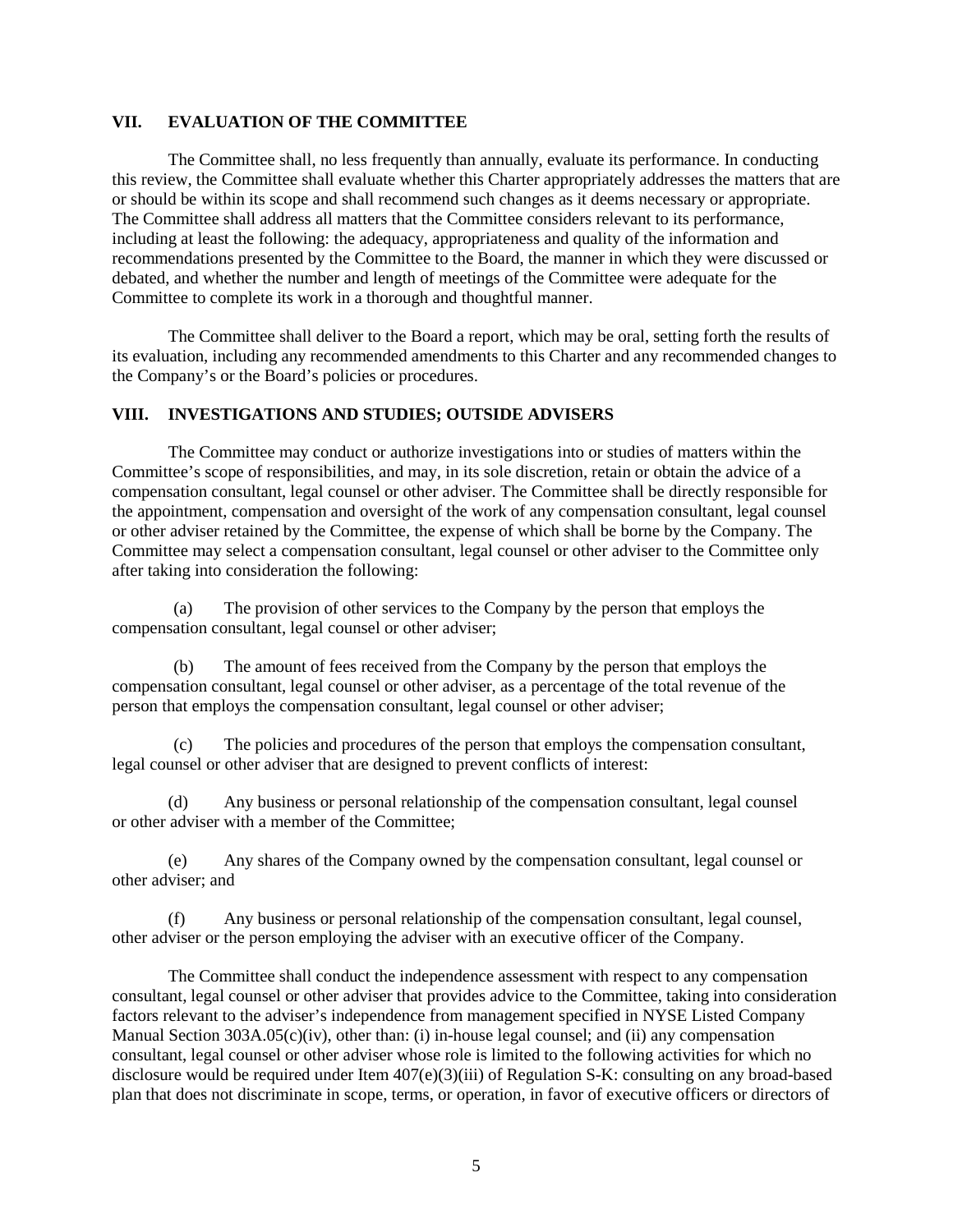### **VII. EVALUATION OF THE COMMITTEE**

The Committee shall, no less frequently than annually, evaluate its performance. In conducting this review, the Committee shall evaluate whether this Charter appropriately addresses the matters that are or should be within its scope and shall recommend such changes as it deems necessary or appropriate. The Committee shall address all matters that the Committee considers relevant to its performance, including at least the following: the adequacy, appropriateness and quality of the information and recommendations presented by the Committee to the Board, the manner in which they were discussed or debated, and whether the number and length of meetings of the Committee were adequate for the Committee to complete its work in a thorough and thoughtful manner.

The Committee shall deliver to the Board a report, which may be oral, setting forth the results of its evaluation, including any recommended amendments to this Charter and any recommended changes to the Company's or the Board's policies or procedures.

#### **VIII. INVESTIGATIONS AND STUDIES; OUTSIDE ADVISERS**

The Committee may conduct or authorize investigations into or studies of matters within the Committee's scope of responsibilities, and may, in its sole discretion, retain or obtain the advice of a compensation consultant, legal counsel or other adviser. The Committee shall be directly responsible for the appointment, compensation and oversight of the work of any compensation consultant, legal counsel or other adviser retained by the Committee, the expense of which shall be borne by the Company. The Committee may select a compensation consultant, legal counsel or other adviser to the Committee only after taking into consideration the following:

(a) The provision of other services to the Company by the person that employs the compensation consultant, legal counsel or other adviser;

(b) The amount of fees received from the Company by the person that employs the compensation consultant, legal counsel or other adviser, as a percentage of the total revenue of the person that employs the compensation consultant, legal counsel or other adviser;

(c) The policies and procedures of the person that employs the compensation consultant, legal counsel or other adviser that are designed to prevent conflicts of interest:

(d) Any business or personal relationship of the compensation consultant, legal counsel or other adviser with a member of the Committee;

(e) Any shares of the Company owned by the compensation consultant, legal counsel or other adviser; and

(f) Any business or personal relationship of the compensation consultant, legal counsel, other adviser or the person employing the adviser with an executive officer of the Company.

The Committee shall conduct the independence assessment with respect to any compensation consultant, legal counsel or other adviser that provides advice to the Committee, taking into consideration factors relevant to the adviser's independence from management specified in NYSE Listed Company Manual Section 303A.05(c)(iv), other than: (i) in-house legal counsel; and (ii) any compensation consultant, legal counsel or other adviser whose role is limited to the following activities for which no disclosure would be required under Item 407(e)(3)(iii) of Regulation S-K: consulting on any broad-based plan that does not discriminate in scope, terms, or operation, in favor of executive officers or directors of